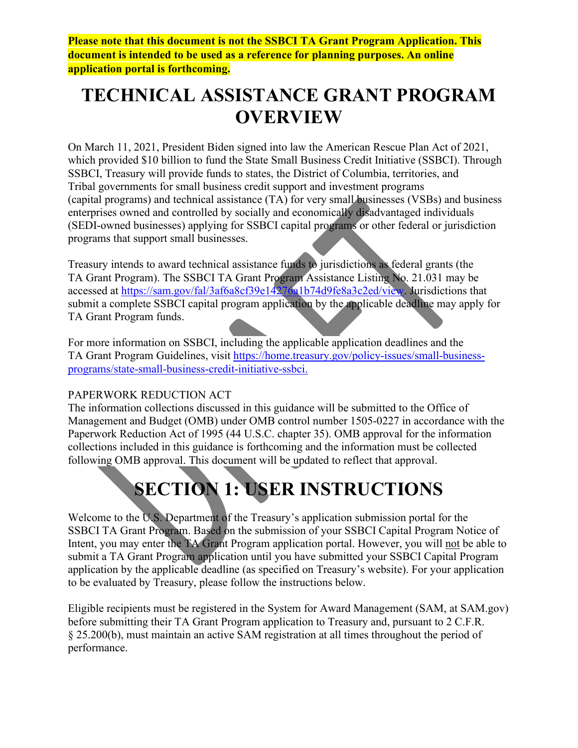**Please note that this document is not the SSBCI TA Grant Program Application. This document is intended to be used as a reference for planning purposes. An online application portal is forthcoming.**

# **TECHNICAL ASSISTANCE GRANT PROGRAM OVERVIEW**

On March 11, 2021, President Biden signed into law the American Rescue Plan Act of 2021, which provided \$10 billion to fund the State Small Business Credit Initiative (SSBCI). Through SSBCI, Treasury will provide funds to states, the District of Columbia, territories, and Tribal governments for small business credit support and investment programs (capital programs) and technical assistance (TA) for very small businesses (VSBs) and business enterprises owned and controlled by socially and economically disadvantaged individuals (SEDI-owned businesses) applying for SSBCI capital programs or other federal or jurisdiction programs that support small businesses.

Treasury intends to award technical assistance funds to jurisdictions as federal grants (the TA Grant Program). The SSBCI TA Grant Program Assistance Listing No. 21.031 may be accessed at [https://sam.gov/fal/3af6a8cf39e14276a1b74d9fe8a3c2ed/view.](https://sam.gov/fal/3af6a8cf39e14276a1b74d9fe8a3c2ed/view) Jurisdictions that submit a complete SSBCI capital program application by the applicable deadline may apply for TA Grant Program funds.

For more information on SSBCI, including the applicable application deadlines and the TA Grant Program Guidelines, visit [https://home.treasury.gov/policy-issues/small-business](https://home.treasury.gov/policy-issues/small-business-programs/state-small-business-credit-initiative-ssbci)[programs/state-small-business-credit-initiative-ssbci.](https://home.treasury.gov/policy-issues/small-business-programs/state-small-business-credit-initiative-ssbci)

### PAPERWORK REDUCTION ACT

The information collections discussed in this guidance will be submitted to the Office of Management and Budget (OMB) under OMB control number 1505-0227 in accordance with the Paperwork Reduction Act of 1995 (44 U.S.C. chapter 35). OMB approval for the information collections included in this guidance is forthcoming and the information must be collected following OMB approval. This document will be updated to reflect that approval.

# **SECTION 1: USER INSTRUCTIONS**

Welcome to the U.S. Department of the Treasury's application submission portal for the SSBCI TA Grant Program. Based on the submission of your SSBCI Capital Program Notice of Intent, you may enter the TA Grant Program application portal. However, you will not be able to submit a TA Grant Program application until you have submitted your SSBCI Capital Program application by the applicable deadline (as specified on Treasury's website). For your application to be evaluated by Treasury, please follow the instructions below.

Eligible recipients must be registered in the System for Award Management (SAM, at SAM.gov) before submitting their TA Grant Program application to Treasury and, pursuant to 2 C.F.R. § 25.200(b), must maintain an active SAM registration at all times throughout the period of performance.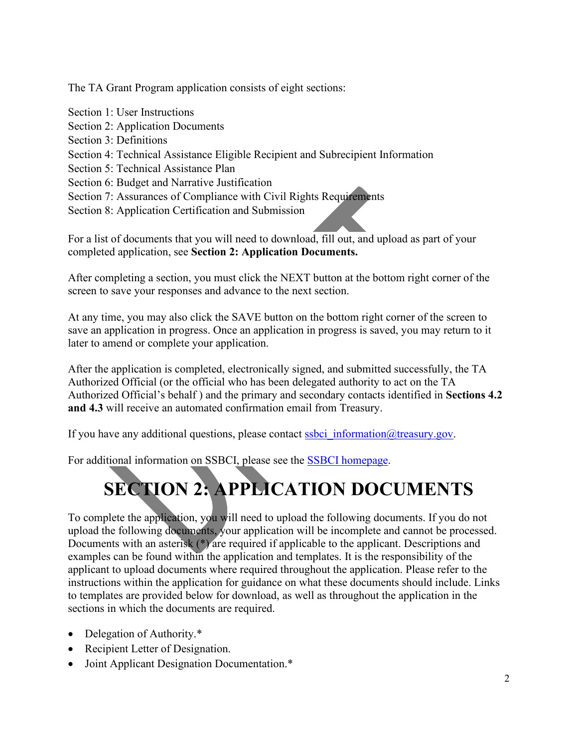The TA Grant Program application consists of eight sections:

Section 1: User Instructions Section 2: Application Documents Section 3: Definitions Section 4: Technical Assistance Eligible Recipient and Subrecipient Information Section 5: Technical Assistance Plan Section 6: Budget and Narrative Justification Section 7: Assurances of Compliance with Civil Rights Requirements Section 8: Application Certification and Submission

For a list of documents that you will need to download, fill out, and upload as part of your completed application, see **Section 2: Application Documents.** 

After completing a section, you must click the NEXT button at the bottom right corner of the screen to save your responses and advance to the next section.

At any time, you may also click the SAVE button on the bottom right corner of the screen to save an application in progress. Once an application in progress is saved, you may return to it later to amend or complete your application.

After the application is completed, electronically signed, and submitted successfully, the TA Authorized Official (or the official who has been delegated authority to act on the TA Authorized Official's behalf ) and the primary and secondary contacts identified in **Sections 4.2 and 4.3** will receive an automated confirmation email from Treasury.

If you have any additional questions, please contact ssbci information  $@$  treasury.gov.

For additional information on SSBCI, please see the [SSBCI homepage.](https://home.treasury.gov/policy-issues/small-business-programs/state-small-business-credit-initiative-ssbci)

# **SECTION 2: APPLICATION DOCUMENTS**

To complete the application, you will need to upload the following documents. If you do not upload the following documents, your application will be incomplete and cannot be processed. Documents with an asterisk (\*) are required if applicable to the applicant. Descriptions and examples can be found within the application and templates. It is the responsibility of the applicant to upload documents where required throughout the application. Please refer to the instructions within the application for guidance on what these documents should include. Links to templates are provided below for download, as well as throughout the application in the sections in which the documents are required.

- Delegation of Authority.\*
- Recipient Letter of Designation.
- Joint Applicant Designation Documentation.\*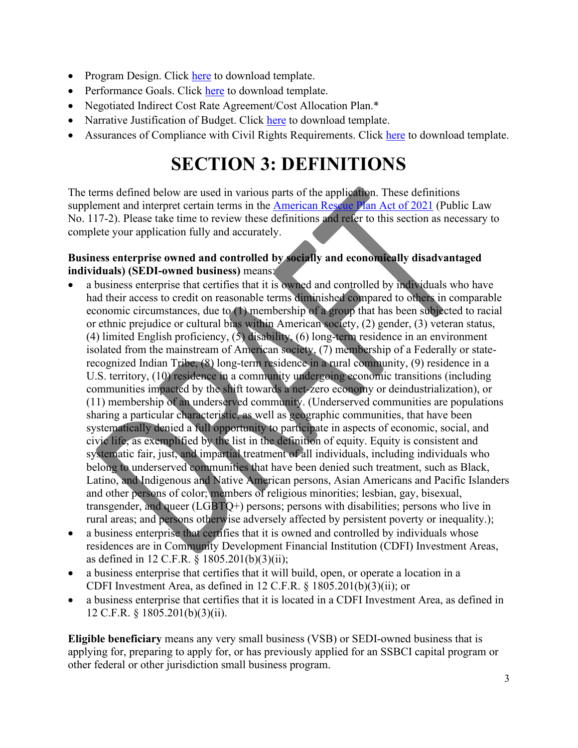- Program Design. Click here to download template.
- Performance Goals. Click here to download template.
- Negotiated Indirect Cost Rate Agreement/Cost Allocation Plan.\*
- Narrative Justification of Budget. Click here to download template.
- Assurances of Compliance with Civil Rights Requirements. Click here to download template.

# **SECTION 3: DEFINITIONS**

The terms defined below are used in various parts of the application. These definitions supplement and interpret certain terms in the [American Rescue Plan Act of 2021](https://www.congress.gov/117/bills/hr1319/BILLS-117hr1319enr.pdf) (Public Law No. 117-2). Please take time to review these definitions and refer to this section as necessary to complete your application fully and accurately.

# **Business enterprise owned and controlled by socially and economically disadvantaged individuals) (SEDI-owned business)** means:

- a business enterprise that certifies that it is owned and controlled by individuals who have had their access to credit on reasonable terms diminished compared to others in comparable economic circumstances, due to (1) membership of a group that has been subjected to racial or ethnic prejudice or cultural bias within American society, (2) gender, (3) veteran status, (4) limited English proficiency, (5) disability, (6) long-term residence in an environment isolated from the mainstream of American society, (7) membership of a Federally or staterecognized Indian Tribe, (8) long-term residence in a rural community, (9) residence in a U.S. territory, (10) residence in a community undergoing economic transitions (including communities impacted by the shift towards a net-zero economy or deindustrialization), or (11) membership of an underserved community. (Underserved communities are populations sharing a particular characteristic, as well as geographic communities, that have been systematically denied a full opportunity to participate in aspects of economic, social, and civic life, as exemplified by the list in the definition of equity. Equity is consistent and systematic fair, just, and impartial treatment of all individuals, including individuals who belong to underserved communities that have been denied such treatment, such as Black, Latino, and Indigenous and Native American persons, Asian Americans and Pacific Islanders and other persons of color; members of religious minorities; lesbian, gay, bisexual, transgender, and queer  $(LGBTQ+)$  persons; persons with disabilities; persons who live in rural areas; and persons otherwise adversely affected by persistent poverty or inequality.);
- a business enterprise that certifies that it is owned and controlled by individuals whose residences are in Community Development Financial Institution (CDFI) Investment Areas, as defined in 12 C.F.R. § 1805.201(b)(3)(ii);
- a business enterprise that certifies that it will build, open, or operate a location in a CDFI Investment Area, as defined in 12 C.F.R. § 1805.201(b)(3)(ii); or
- a business enterprise that certifies that it is located in a CDFI Investment Area, as defined in 12 C.F.R. § 1805.201(b)(3)(ii).

**Eligible beneficiary** means any very small business (VSB) or SEDI-owned business that is applying for, preparing to apply for, or has previously applied for an SSBCI capital program or other federal or other jurisdiction small business program.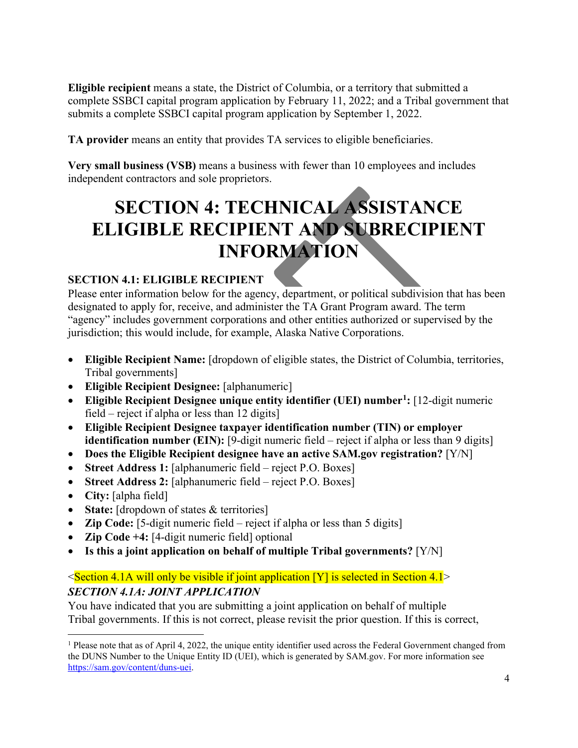**Eligible recipient** means a state, the District of Columbia, or a territory that submitted a complete SSBCI capital program application by February 11, 2022; and a Tribal government that submits a complete SSBCI capital program application by September 1, 2022.

**TA provider** means an entity that provides TA services to eligible beneficiaries.

**Very small business (VSB)** means a business with fewer than 10 employees and includes independent contractors and sole proprietors.

# **SECTION 4: TECHNICAL ASSISTANCE ELIGIBLE RECIPIENT AND SUBRECIPIENT INFORMATION**

# **SECTION 4.1: ELIGIBLE RECIPIENT**

Please enter information below for the agency, department, or political subdivision that has been designated to apply for, receive, and administer the TA Grant Program award. The term "agency" includes government corporations and other entities authorized or supervised by the jurisdiction; this would include, for example, Alaska Native Corporations.

- **Eligible Recipient Name:** [dropdown of eligible states, the District of Columbia, territories, Tribal governments]
- **Eligible Recipient Designee:** [alphanumeric]
- **Eligible Recipient Designee unique entity identifier (UEI) number[1](#page-3-0):** [12-digit numeric field – reject if alpha or less than 12 digits]
- **Eligible Recipient Designee taxpayer identification number (TIN) or employer identification number (EIN):** [9-digit numeric field – reject if alpha or less than 9 digits]
- **Does the Eligible Recipient designee have an active SAM.gov registration?** [Y/N]
- **Street Address 1:** [alphanumeric field reject P.O. Boxes]
- **Street Address 2:** [alphanumeric field reject P.O. Boxes]
- **City:** [alpha field]
- **State:** [dropdown of states & territories]
- **Zip Code:** [5-digit numeric field reject if alpha or less than 5 digits]
- **Zip Code +4:** [4-digit numeric field] optional
- **Is this a joint application on behalf of multiple Tribal governments?** [Y/N]

# $\leq$ Section 4.1A will only be visible if joint application [Y] is selected in Section 4.1 $\geq$ *SECTION 4.1A: JOINT APPLICATION*

You have indicated that you are submitting a joint application on behalf of multiple Tribal governments. If this is not correct, please revisit the prior question. If this is correct,

<span id="page-3-0"></span><sup>&</sup>lt;sup>1</sup> Please note that as of April 4, 2022, the unique entity identifier used across the Federal Government changed from the DUNS Number to the Unique Entity ID (UEI), which is generated by SAM.gov. For more information see [https://sam.gov/content/duns-uei.](https://sam.gov/content/duns-uei)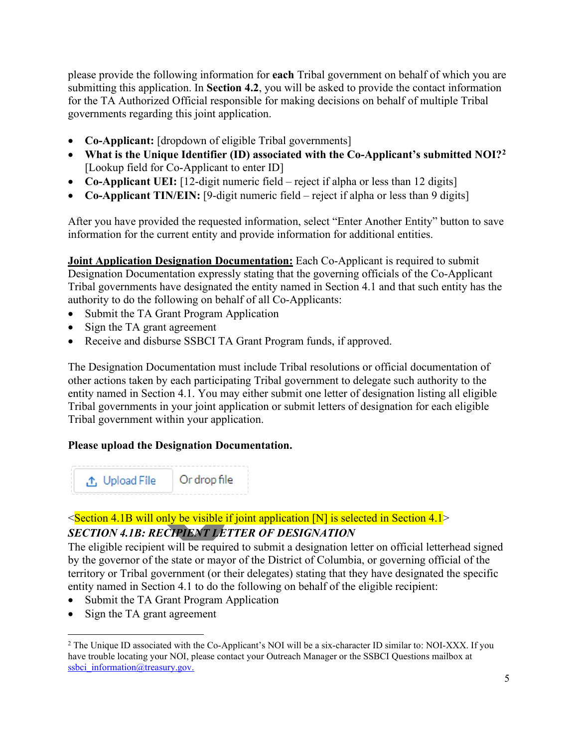please provide the following information for **each** Tribal government on behalf of which you are submitting this application. In **Section 4.2**, you will be asked to provide the contact information for the TA Authorized Official responsible for making decisions on behalf of multiple Tribal governments regarding this joint application.

- **Co-Applicant:** [dropdown of eligible Tribal governments]
- **What is the Unique Identifier (ID) associated with the Co-Applicant's submitted NOI?[2](#page-4-0)** [Lookup field for Co-Applicant to enter ID]
- **Co-Applicant UEI:** [12-digit numeric field reject if alpha or less than 12 digits]
- **Co-Applicant TIN/EIN:** [9-digit numeric field reject if alpha or less than 9 digits]

After you have provided the requested information, select "Enter Another Entity" button to save information for the current entity and provide information for additional entities.

**Joint Application Designation Documentation:** Each Co-Applicant is required to submit Designation Documentation expressly stating that the governing officials of the Co-Applicant Tribal governments have designated the entity named in Section 4.1 and that such entity has the authority to do the following on behalf of all Co-Applicants:

- Submit the TA Grant Program Application
- Sign the TA grant agreement
- Receive and disburse SSBCI TA Grant Program funds, if approved.

The Designation Documentation must include Tribal resolutions or official documentation of other actions taken by each participating Tribal government to delegate such authority to the entity named in Section 4.1. You may either submit one letter of designation listing all eligible Tribal governments in your joint application or submit letters of designation for each eligible Tribal government within your application.

#### **Please upload the Designation Documentation.**



# $\leq$ Section 4.1B will only be visible if joint application [N] is selected in Section 4.1 $\geq$ *SECTION 4.1B: RECIPIENT LETTER OF DESIGNATION*

The eligible recipient will be required to submit a designation letter on official letterhead signed by the governor of the state or mayor of the District of Columbia, or governing official of the territory or Tribal government (or their delegates) stating that they have designated the specific entity named in Section 4.1 to do the following on behalf of the eligible recipient:

- Submit the TA Grant Program Application
- Sign the TA grant agreement

<span id="page-4-0"></span><sup>&</sup>lt;sup>2</sup> The Unique ID associated with the Co-Applicant's NOI will be a six-character ID similar to: NOI-XXX. If you have trouble locating your NOI, please contact your Outreach Manager or the SSBCI Questions mailbox at [ssbci\\_information@treasury.gov.](mailto:ssbci_information@treasury.gov)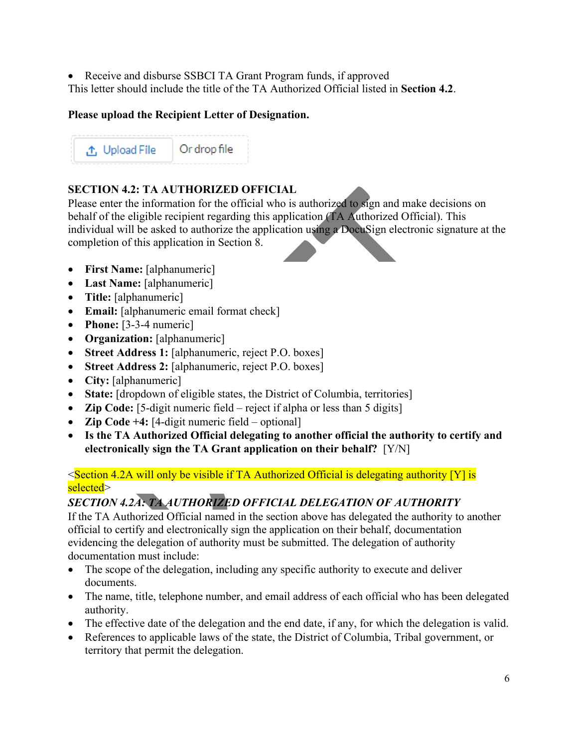• Receive and disburse SSBCI TA Grant Program funds, if approved This letter should include the title of the TA Authorized Official listed in **Section 4.2**.

# **Please upload the Recipient Letter of Designation.**

Or drop file ↑ Upload File

# **SECTION 4.2: TA AUTHORIZED OFFICIAL**

Please enter the information for the official who is authorized to sign and make decisions on behalf of the eligible recipient regarding this application (TA Authorized Official). This individual will be asked to authorize the application using a DocuSign electronic signature at the completion of this application in Section 8.

- **First Name:** [alphanumeric]
- **Last Name:** [alphanumeric]
- **Title:** [alphanumeric]
- **Email:** [alphanumeric email format check]
- **Phone:** [3-3-4 numeric]
- **Organization:** [alphanumeric]
- **Street Address 1:** [alphanumeric, reject P.O. boxes]
- **Street Address 2:** [alphanumeric, reject P.O. boxes]
- **City:** [alphanumeric]
- **State:** [dropdown of eligible states, the District of Columbia, territories]
- **Zip Code:** [5-digit numeric field reject if alpha or less than 5 digits]
- **Zip Code +4:** [4-digit numeric field optional]
- **Is the TA Authorized Official delegating to another official the authority to certify and electronically sign the TA Grant application on their behalf?** [Y/N]

### $\leq$ Section 4.2A will only be visible if TA Authorized Official is delegating authority [Y] is selected>

# *SECTION 4.2A: TA AUTHORIZED OFFICIAL DELEGATION OF AUTHORITY*

If the TA Authorized Official named in the section above has delegated the authority to another official to certify and electronically sign the application on their behalf, documentation evidencing the delegation of authority must be submitted. The delegation of authority documentation must include:

- The scope of the delegation, including any specific authority to execute and deliver documents.
- The name, title, telephone number, and email address of each official who has been delegated authority.
- The effective date of the delegation and the end date, if any, for which the delegation is valid.
- References to applicable laws of the state, the District of Columbia, Tribal government, or territory that permit the delegation.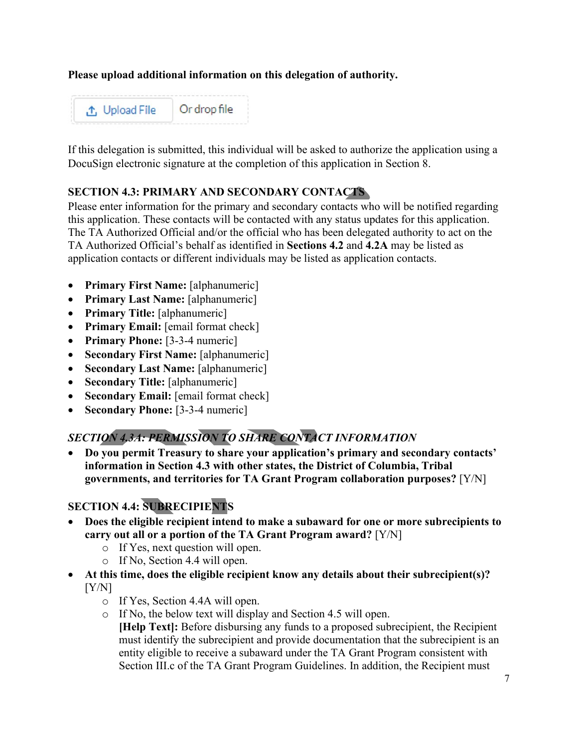### **Please upload additional information on this delegation of authority.**



If this delegation is submitted, this individual will be asked to authorize the application using a DocuSign electronic signature at the completion of this application in Section 8.

#### **SECTION 4.3: PRIMARY AND SECONDARY CONTACTS**

Please enter information for the primary and secondary contacts who will be notified regarding this application. These contacts will be contacted with any status updates for this application. The TA Authorized Official and/or the official who has been delegated authority to act on the TA Authorized Official's behalf as identified in **Sections 4.2** and **4.2A** may be listed as application contacts or different individuals may be listed as application contacts.

- **Primary First Name:** [alphanumeric]
- **Primary Last Name:** [alphanumeric]
- **Primary Title:** [alphanumeric]
- **Primary Email:** [email format check]
- **Primary Phone:** [3-3-4 numeric]
- **Secondary First Name:** [alphanumeric]
- **Secondary Last Name:** [alphanumeric]
- **Secondary Title:** [alphanumeric]
- **Secondary Email:** [email format check]
- **Secondary Phone:** [3-3-4 numeric]

# *SECTION 4.3A: PERMISSION TO SHARE CONTACT INFORMATION*

• **Do you permit Treasury to share your application's primary and secondary contacts' information in Section 4.3 with other states, the District of Columbia, Tribal governments, and territories for TA Grant Program collaboration purposes?** [Y/N]

# **SECTION 4.4: SUBRECIPIENTS**

- **Does the eligible recipient intend to make a subaward for one or more subrecipients to carry out all or a portion of the TA Grant Program award?** [Y/N]
	- o If Yes, next question will open.
	- o If No, Section 4.4 will open.
- **At this time, does the eligible recipient know any details about their subrecipient(s)?**   $[Y/N]$ 
	- o If Yes, Section 4.4A will open.
	- o If No, the below text will display and Section 4.5 will open.

**[Help Text]:** Before disbursing any funds to a proposed subrecipient, the Recipient must identify the subrecipient and provide documentation that the subrecipient is an entity eligible to receive a subaward under the TA Grant Program consistent with Section III.c of the TA Grant Program Guidelines. In addition, the Recipient must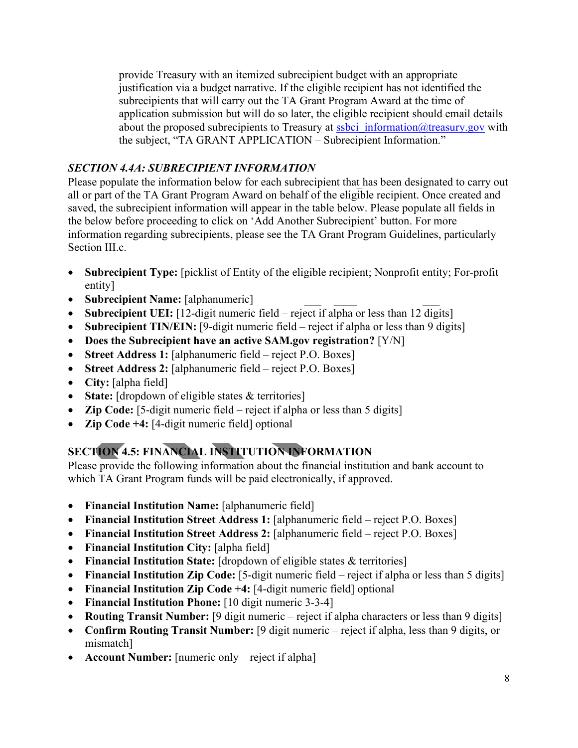provide Treasury with an itemized subrecipient budget with an appropriate justification via a budget narrative. If the eligible recipient has not identified the subrecipients that will carry out the TA Grant Program Award at the time of application submission but will do so later, the eligible recipient should email details about the proposed subrecipients to Treasury at ssbci information@treasury.gov with the subject, "TA GRANT APPLICATION – Subrecipient Information."

# *SECTION 4.4A: SUBRECIPIENT INFORMATION*

Please populate the information below for each subrecipient that has been designated to carry out all or part of the TA Grant Program Award on behalf of the eligible recipient. Once created and saved, the subrecipient information will appear in the table below. Please populate all fields in the below before proceeding to click on 'Add Another Subrecipient' button. For more information regarding subrecipients, please see the TA Grant Program Guidelines, particularly Section III.c.

- **Subrecipient Type:** [picklist of Entity of the eligible recipient; Nonprofit entity; For-profit entity]
- **Subrecipient Name:** [alphanumeric]
- **Subrecipient UEI:** [12-digit numeric field reject if alpha or less than 12 digits]
- **Subrecipient TIN/EIN:** [9-digit numeric field reject if alpha or less than 9 digits]
- **Does the Subrecipient have an active SAM.gov registration?** [Y/N]
- **Street Address 1:** [alphanumeric field reject P.O. Boxes]
- **Street Address 2:** [alphanumeric field reject P.O. Boxes]
- **City:** [alpha field]
- **State:** [dropdown of eligible states & territories]
- **Zip Code:** [5-digit numeric field reject if alpha or less than 5 digits]
- **Zip Code +4:** [4-digit numeric field] optional

# **SECTION 4.5: FINANCIAL INSTITUTION INFORMATION**

Please provide the following information about the financial institution and bank account to which TA Grant Program funds will be paid electronically, if approved.

- **Financial Institution Name:** [alphanumeric field]
- **Financial Institution Street Address 1:** [alphanumeric field reject P.O. Boxes]
- **Financial Institution Street Address 2:** [alphanumeric field reject P.O. Boxes]
- **Financial Institution City:** [alpha field]
- **Financial Institution State:** [dropdown of eligible states & territories]
- **Financial Institution Zip Code:** [5-digit numeric field reject if alpha or less than 5 digits]
- **Financial Institution Zip Code +4:** [4-digit numeric field] optional
- **Financial Institution Phone:** [10 digit numeric 3-3-4]
- **Routing Transit Number:** [9 digit numeric reject if alpha characters or less than 9 digits]
- **Confirm Routing Transit Number:** [9 digit numeric reject if alpha, less than 9 digits, or mismatch]
- **Account Number:** [numeric only reject if alpha]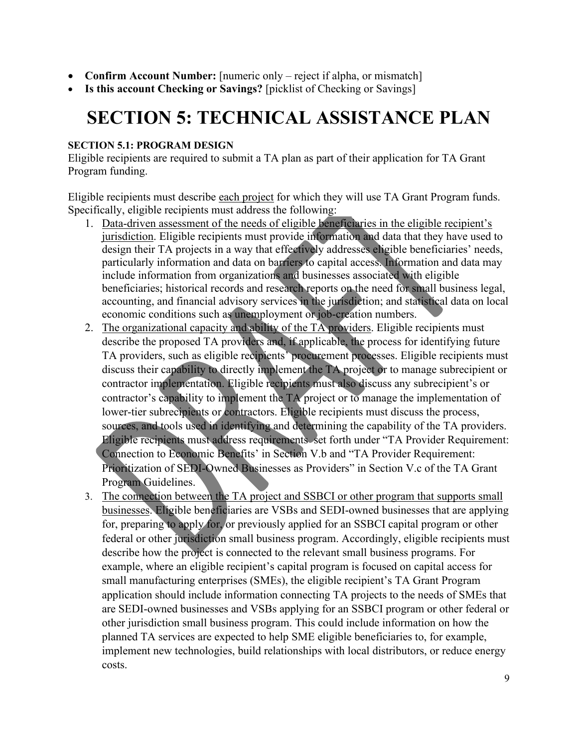- **Confirm Account Number:** [numeric only reject if alpha, or mismatch]
- **Is this account Checking or Savings?** [picklist of Checking or Savings]

# **SECTION 5: TECHNICAL ASSISTANCE PLAN**

#### **SECTION 5.1: PROGRAM DESIGN**

Eligible recipients are required to submit a TA plan as part of their application for TA Grant Program funding.

Eligible recipients must describe each project for which they will use TA Grant Program funds. Specifically, eligible recipients must address the following:

- 1. Data-driven assessment of the needs of eligible beneficiaries in the eligible recipient's jurisdiction. Eligible recipients must provide information and data that they have used to design their TA projects in a way that effectively addresses eligible beneficiaries' needs, particularly information and data on barriers to capital access. Information and data may include information from organizations and businesses associated with eligible beneficiaries; historical records and research reports on the need for small business legal, accounting, and financial advisory services in the jurisdiction; and statistical data on local economic conditions such as unemployment or job-creation numbers.
- 2. The organizational capacity and ability of the TA providers. Eligible recipients must describe the proposed TA providers and, if applicable, the process for identifying future TA providers, such as eligible recipients' procurement processes. Eligible recipients must discuss their capability to directly implement the TA project or to manage subrecipient or contractor implementation. Eligible recipients must also discuss any subrecipient's or contractor's capability to implement the TA project or to manage the implementation of lower-tier subrecipients or contractors. Eligible recipients must discuss the process, sources, and tools used in identifying and determining the capability of the TA providers. Eligible recipients must address requirements set forth under "TA Provider Requirement: Connection to Economic Benefits' in Section V.b and "TA Provider Requirement: Prioritization of SEDI-Owned Businesses as Providers" in Section V.c of the TA Grant Program Guidelines.
- 3. The connection between the TA project and SSBCI or other program that supports small businesses. Eligible beneficiaries are VSBs and SEDI-owned businesses that are applying for, preparing to apply for, or previously applied for an SSBCI capital program or other federal or other jurisdiction small business program. Accordingly, eligible recipients must describe how the project is connected to the relevant small business programs. For example, where an eligible recipient's capital program is focused on capital access for small manufacturing enterprises (SMEs), the eligible recipient's TA Grant Program application should include information connecting TA projects to the needs of SMEs that are SEDI-owned businesses and VSBs applying for an SSBCI program or other federal or other jurisdiction small business program. This could include information on how the planned TA services are expected to help SME eligible beneficiaries to, for example, implement new technologies, build relationships with local distributors, or reduce energy costs.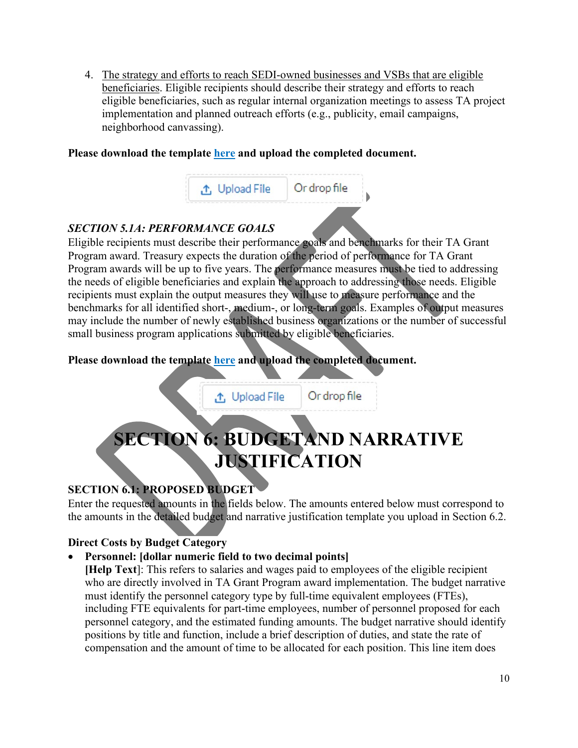4. The strategy and efforts to reach SEDI-owned businesses and VSBs that are eligible beneficiaries. Eligible recipients should describe their strategy and efforts to reach eligible beneficiaries, such as regular internal organization meetings to assess TA project implementation and planned outreach efforts (e.g., publicity, email campaigns, neighborhood canvassing).

#### **Please download the template here and upload the completed document.**



# *SECTION 5.1A: PERFORMANCE GOALS*

Eligible recipients must describe their performance goals and benchmarks for their TA Grant Program award. Treasury expects the duration of the period of performance for TA Grant Program awards will be up to five years. The performance measures must be tied to addressing the needs of eligible beneficiaries and explain the approach to addressing those needs. Eligible recipients must explain the output measures they will use to measure performance and the benchmarks for all identified short-, medium-, or long-term goals. Examples of output measures may include the number of newly established business organizations or the number of successful small business program applications submitted by eligible beneficiaries.

# **Please download the template here and upload the completed document.**

**↑** Upload File Or drop file **SECTION 6: BUDGETAND NARRATIVE JUSTIFICATION**

# **SECTION 6.1: PROPOSED BUDGET**

Enter the requested amounts in the fields below. The amounts entered below must correspond to the amounts in the detailed budget and narrative justification template you upload in Section 6.2.

### **Direct Costs by Budget Category**

### • **Personnel: [dollar numeric field to two decimal points]**

**[Help Text**]: This refers to salaries and wages paid to employees of the eligible recipient who are directly involved in TA Grant Program award implementation. The budget narrative must identify the personnel category type by full-time equivalent employees (FTEs), including FTE equivalents for part-time employees, number of personnel proposed for each personnel category, and the estimated funding amounts. The budget narrative should identify positions by title and function, include a brief description of duties, and state the rate of compensation and the amount of time to be allocated for each position. This line item does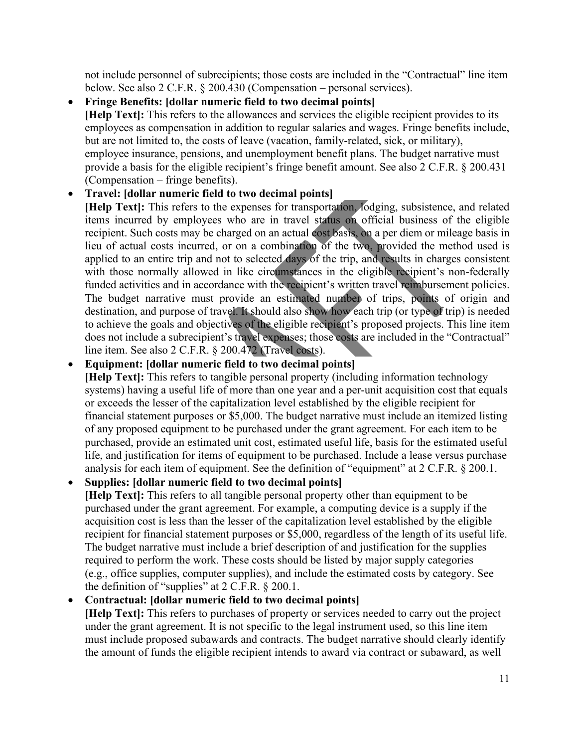not include personnel of subrecipients; those costs are included in the "Contractual" line item below. See also 2 C.F.R. § 200.430 (Compensation – personal services).

• **Fringe Benefits: [dollar numeric field to two decimal points] [Help Text]:** This refers to the allowances and services the eligible recipient provides to its employees as compensation in addition to regular salaries and wages. Fringe benefits include, but are not limited to, the costs of leave (vacation, family-related, sick, or military), employee insurance, pensions, and unemployment benefit plans. The budget narrative must provide a basis for the eligible recipient's fringe benefit amount. See also 2 C.F.R. § 200.431 (Compensation – fringe benefits).

#### • **Travel: [dollar numeric field to two decimal points]**

**[Help Text]:** This refers to the expenses for transportation, lodging, subsistence, and related items incurred by employees who are in travel status on official business of the eligible recipient. Such costs may be charged on an actual cost basis, on a per diem or mileage basis in lieu of actual costs incurred, or on a combination of the two, provided the method used is applied to an entire trip and not to selected days of the trip, and results in charges consistent with those normally allowed in like circumstances in the eligible recipient's non-federally funded activities and in accordance with the recipient's written travel reimbursement policies. The budget narrative must provide an estimated number of trips, points of origin and destination, and purpose of travel. It should also show how each trip (or type of trip) is needed to achieve the goals and objectives of the eligible recipient's proposed projects. This line item does not include a subrecipient's travel expenses; those costs are included in the "Contractual" line item. See also 2 C.F.R. § 200.472 (Travel costs).

#### • **Equipment: [dollar numeric field to two decimal points]**

**[Help Text]:** This refers to tangible personal property (including information technology systems) having a useful life of more than one year and a per-unit acquisition cost that equals or exceeds the lesser of the capitalization level established by the eligible recipient for financial statement purposes or \$5,000. The budget narrative must include an itemized listing of any proposed equipment to be purchased under the grant agreement. For each item to be purchased, provide an estimated unit cost, estimated useful life, basis for the estimated useful life, and justification for items of equipment to be purchased. Include a lease versus purchase analysis for each item of equipment. See the definition of "equipment" at 2 C.F.R. § 200.1.

• **Supplies: [dollar numeric field to two decimal points]**

**[Help Text]:** This refers to all tangible personal property other than equipment to be purchased under the grant agreement. For example, a computing device is a supply if the acquisition cost is less than the lesser of the capitalization level established by the eligible recipient for financial statement purposes or \$5,000, regardless of the length of its useful life. The budget narrative must include a brief description of and justification for the supplies required to perform the work. These costs should be listed by major supply categories (e.g., office supplies, computer supplies), and include the estimated costs by category. See the definition of "supplies" at 2 C.F.R. § 200.1.

### • **Contractual: [dollar numeric field to two decimal points]**

**[Help Text]:** This refers to purchases of property or services needed to carry out the project under the grant agreement. It is not specific to the legal instrument used, so this line item must include proposed subawards and contracts. The budget narrative should clearly identify the amount of funds the eligible recipient intends to award via contract or subaward, as well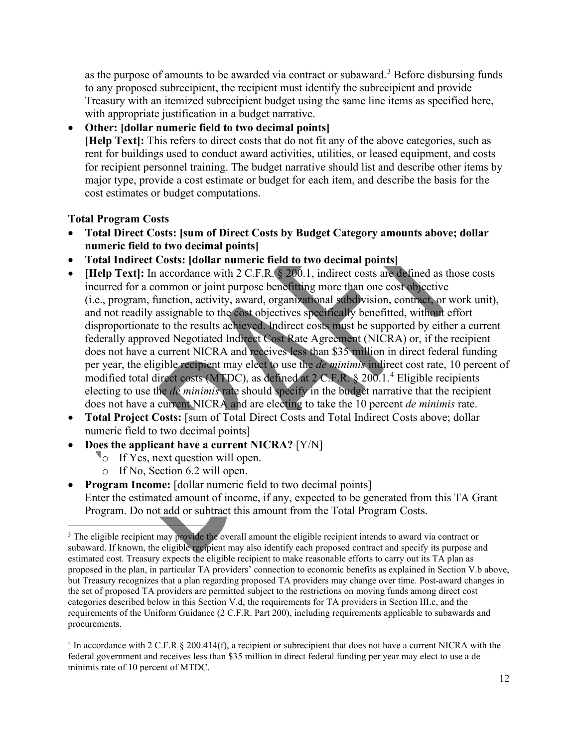as the purpose of amounts to be awarded via contract or subaward.<sup>[3](#page-11-0)</sup> Before disbursing funds to any proposed subrecipient, the recipient must identify the subrecipient and provide Treasury with an itemized subrecipient budget using the same line items as specified here, with appropriate justification in a budget narrative.

### • **Other: [dollar numeric field to two decimal points]**

**[Help Text]:** This refers to direct costs that do not fit any of the above categories, such as rent for buildings used to conduct award activities, utilities, or leased equipment, and costs for recipient personnel training. The budget narrative should list and describe other items by major type, provide a cost estimate or budget for each item, and describe the basis for the cost estimates or budget computations.

#### **Total Program Costs**

- **Total Direct Costs: [sum of Direct Costs by Budget Category amounts above; dollar numeric field to two decimal points]**
- **Total Indirect Costs: [dollar numeric field to two decimal points]**
- **[Help Text]:** In accordance with 2 C.F.R. § 200.1, indirect costs are defined as those costs incurred for a common or joint purpose benefitting more than one cost objective (i.e., program, function, activity, award, organizational subdivision, contract, or work unit), and not readily assignable to the cost objectives specifically benefitted, without effort disproportionate to the results achieved. Indirect costs must be supported by either a current federally approved Negotiated Indirect Cost Rate Agreement (NICRA) or, if the recipient does not have a current NICRA and receives less than \$35 million in direct federal funding per year, the eligible recipient may elect to use the *de minimis* indirect cost rate, 10 percent of modified total direct costs (MTDC), as defined at 2 C.F.R. § 200.1.[4](#page-11-1) Eligible recipients electing to use the *de minimis* rate should specify in the budget narrative that the recipient does not have a current NICRA and are electing to take the 10 percent *de minimis* rate.
- **Total Project Costs:** [sum of Total Direct Costs and Total Indirect Costs above; dollar numeric field to two decimal points]
- **Does the applicant have a current NICRA?** [Y/N]
	- <sup>o</sup> If Yes, next question will open.
	- o If No, Section 6.2 will open.
- **Program Income:** [dollar numeric field to two decimal points] Enter the estimated amount of income, if any, expected to be generated from this TA Grant Program. Do not add or subtract this amount from the Total Program Costs.

<span id="page-11-0"></span><sup>&</sup>lt;sup>3</sup> The eligible recipient may provide the overall amount the eligible recipient intends to award via contract or subaward. If known, the eligible recipient may also identify each proposed contract and specify its purpose and estimated cost. Treasury expects the eligible recipient to make reasonable efforts to carry out its TA plan as proposed in the plan, in particular TA providers' connection to economic benefits as explained in Section V.b above, but Treasury recognizes that a plan regarding proposed TA providers may change over time. Post-award changes in the set of proposed TA providers are permitted subject to the restrictions on moving funds among direct cost categories described below in this Section V.d, the requirements for TA providers in Section III.c, and the requirements of the Uniform Guidance (2 C.F.R. Part 200), including requirements applicable to subawards and procurements.

<span id="page-11-1"></span><sup>&</sup>lt;sup>4</sup> In accordance with 2 C.F.R § 200.414(f), a recipient or subrecipient that does not have a current NICRA with the federal government and receives less than \$35 million in direct federal funding per year may elect to use a de minimis rate of 10 percent of MTDC.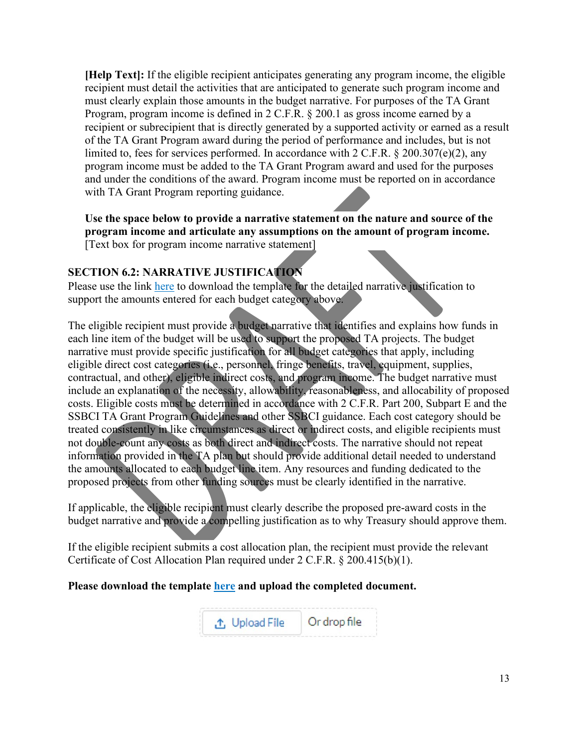**[Help Text]:** If the eligible recipient anticipates generating any program income, the eligible recipient must detail the activities that are anticipated to generate such program income and must clearly explain those amounts in the budget narrative. For purposes of the TA Grant Program, program income is defined in 2 C.F.R. § 200.1 as gross income earned by a recipient or subrecipient that is directly generated by a supported activity or earned as a result of the TA Grant Program award during the period of performance and includes, but is not limited to, fees for services performed. In accordance with 2 C.F.R. § 200.307(e)(2), any program income must be added to the TA Grant Program award and used for the purposes and under the conditions of the award. Program income must be reported on in accordance with TA Grant Program reporting guidance.

**Use the space below to provide a narrative statement on the nature and source of the program income and articulate any assumptions on the amount of program income.**  [Text box for program income narrative statement]

### **SECTION 6.2: NARRATIVE JUSTIFICATION**

Please use the link here to download the template for the detailed narrative justification to support the amounts entered for each budget category above.

The eligible recipient must provide a budget narrative that identifies and explains how funds in each line item of the budget will be used to support the proposed TA projects. The budget narrative must provide specific justification for all budget categories that apply, including eligible direct cost categories (i.e., personnel, fringe benefits, travel, equipment, supplies, contractual, and other), eligible indirect costs, and program income. The budget narrative must include an explanation of the necessity, allowability, reasonableness, and allocability of proposed costs. Eligible costs must be determined in accordance with 2 C.F.R. Part 200, Subpart E and the SSBCI TA Grant Program Guidelines and other SSBCI guidance. Each cost category should be treated consistently in like circumstances as direct or indirect costs, and eligible recipients must not double-count any costs as both direct and indirect costs. The narrative should not repeat information provided in the TA plan but should provide additional detail needed to understand the amounts allocated to each budget line item. Any resources and funding dedicated to the proposed projects from other funding sources must be clearly identified in the narrative.

If applicable, the eligible recipient must clearly describe the proposed pre-award costs in the budget narrative and provide a compelling justification as to why Treasury should approve them.

If the eligible recipient submits a cost allocation plan, the recipient must provide the relevant Certificate of Cost Allocation Plan required under 2 C.F.R. § 200.415(b)(1).

#### **Please download the template here and upload the completed document.**

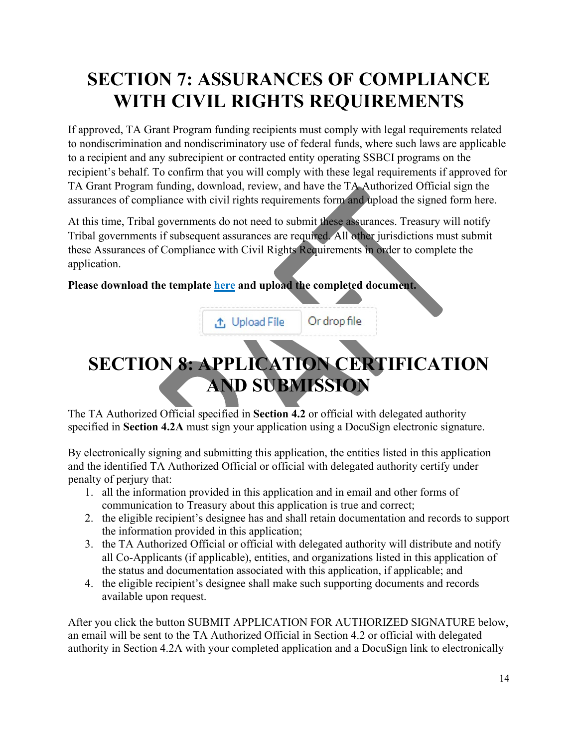# **SECTION 7: ASSURANCES OF COMPLIANCE WITH CIVIL RIGHTS REQUIREMENTS**

If approved, TA Grant Program funding recipients must comply with legal requirements related to nondiscrimination and nondiscriminatory use of federal funds, where such laws are applicable to a recipient and any subrecipient or contracted entity operating SSBCI programs on the recipient's behalf. To confirm that you will comply with these legal requirements if approved for TA Grant Program funding, download, review, and have the TA Authorized Official sign the assurances of compliance with civil rights requirements form and upload the signed form here.

At this time, Tribal governments do not need to submit these assurances. Treasury will notify Tribal governments if subsequent assurances are required. All other jurisdictions must submit these Assurances of Compliance with Civil Rights Requirements in order to complete the application.

#### **Please download the template here and upload the completed document.**

**①** Upload File Or drop file

# **SECTION 8: APPLICATION CERTIFICATION AND SUBMISSION**

The TA Authorized Official specified in **Section 4.2** or official with delegated authority specified in **Section 4.2A** must sign your application using a DocuSign electronic signature.

By electronically signing and submitting this application, the entities listed in this application and the identified TA Authorized Official or official with delegated authority certify under penalty of perjury that:

- 1. all the information provided in this application and in email and other forms of communication to Treasury about this application is true and correct;
- 2. the eligible recipient's designee has and shall retain documentation and records to support the information provided in this application;
- 3. the TA Authorized Official or official with delegated authority will distribute and notify all Co-Applicants (if applicable), entities, and organizations listed in this application of the status and documentation associated with this application, if applicable; and
- 4. the eligible recipient's designee shall make such supporting documents and records available upon request.

After you click the button SUBMIT APPLICATION FOR AUTHORIZED SIGNATURE below, an email will be sent to the TA Authorized Official in Section 4.2 or official with delegated authority in Section 4.2A with your completed application and a DocuSign link to electronically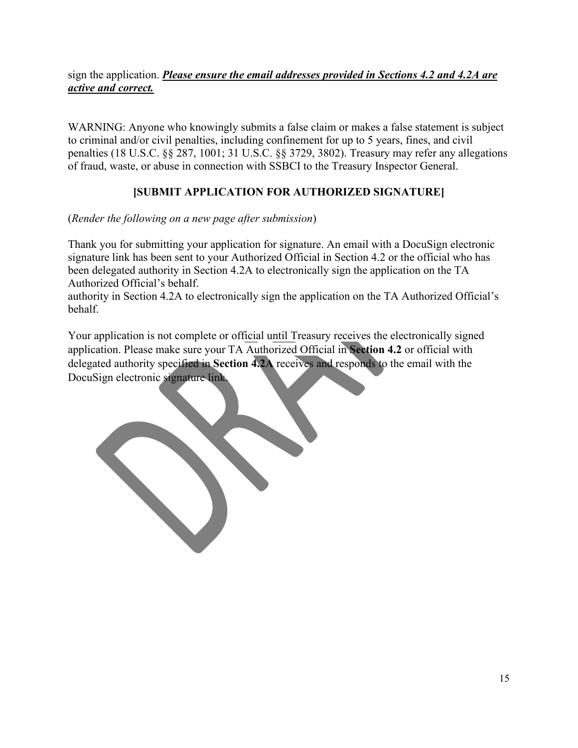### sign the application. *Please ensure the email addresses provided in Sections 4.2 and 4.2A are active and correct.*

WARNING: Anyone who knowingly submits a false claim or makes a false statement is subject to criminal and/or civil penalties, including confinement for up to 5 years, fines, and civil penalties (18 U.S.C. §§ 287, 1001; 31 U.S.C. §§ 3729, 3802). Treasury may refer any allegations of fraud, waste, or abuse in connection with SSBCI to the Treasury Inspector General.

# **[SUBMIT APPLICATION FOR AUTHORIZED SIGNATURE]**

(*Render the following on a new page after submission*)

Thank you for submitting your application for signature. An email with a DocuSign electronic signature link has been sent to your Authorized Official in Section 4.2 or the official who has been delegated authority in Section 4.2A to electronically sign the application on the TA Authorized Official's behalf.

authority in Section 4.2A to electronically sign the application on the TA Authorized Official's behalf.

Your application is not complete or official until Treasury receives the electronically signed application. Please make sure your TA Authorized Official in **Section 4.2** or official with delegated authority specified in **Section 4.2A** receives and responds to the email with the DocuSign electronic signature link.